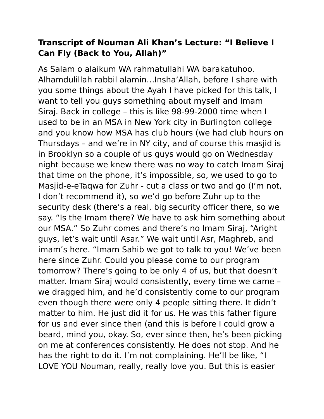## **Transcript of Nouman Ali Khan's Lecture: "I Believe I Can Fly (Back to You, Allah)"**

As Salam o alaikum WA rahmatullahi WA barakatuhoo. Alhamdulillah rabbil alamin…Insha'Allah, before I share with you some things about the Ayah I have picked for this talk, I want to tell you guys something about myself and Imam Siraj. Back in college – this is like 98-99-2000 time when I used to be in an MSA in New York city in Burlington college and you know how MSA has club hours (we had club hours on Thursdays – and we're in NY city, and of course this masjid is in Brooklyn so a couple of us guys would go on Wednesday night because we knew there was no way to catch Imam Siraj that time on the phone, it's impossible, so, we used to go to Masjid-e-eTaqwa for Zuhr - cut a class or two and go (I'm not, I don't recommend it), so we'd go before Zuhr up to the security desk (there's a real, big security officer there, so we say. "Is the Imam there? We have to ask him something about our MSA." So Zuhr comes and there's no Imam Siraj, "Aright guys, let's wait until Asar." We wait until Asr, Maghreb, and imam's here. "Imam Sahib we got to talk to you! We've been here since Zuhr. Could you please come to our program tomorrow? There's going to be only 4 of us, but that doesn't matter. Imam Siraj would consistently, every time we came – we dragged him, and he'd consistently come to our program even though there were only 4 people sitting there. It didn't matter to him. He just did it for us. He was this father figure for us and ever since then (and this is before I could grow a beard, mind you, okay. So, ever since then, he's been picking on me at conferences consistently. He does not stop. And he has the right to do it. I'm not complaining. He'll be like, "I LOVE YOU Nouman, really, really love you. But this is easier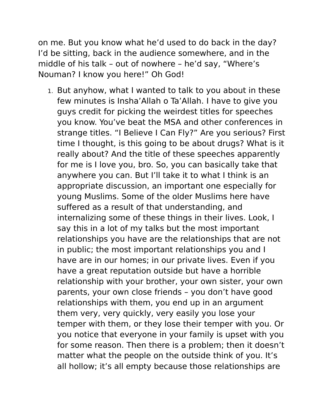on me. But you know what he'd used to do back in the day? I'd be sitting, back in the audience somewhere, and in the middle of his talk – out of nowhere – he'd say, "Where's Nouman? I know you here!" Oh God!

1. But anyhow, what I wanted to talk to you about in these few minutes is Insha'Allah o Ta'Allah. I have to give you guys credit for picking the weirdest titles for speeches you know. You've beat the MSA and other conferences in strange titles. "I Believe I Can Fly?" Are you serious? First time I thought, is this going to be about drugs? What is it really about? And the title of these speeches apparently for me is I love you, bro. So, you can basically take that anywhere you can. But I'll take it to what I think is an appropriate discussion, an important one especially for young Muslims. Some of the older Muslims here have suffered as a result of that understanding, and internalizing some of these things in their lives. Look, I say this in a lot of my talks but the most important relationships you have are the relationships that are not in public; the most important relationships you and I have are in our homes; in our private lives. Even if you have a great reputation outside but have a horrible relationship with your brother, your own sister, your own parents, your own close friends – you don't have good relationships with them, you end up in an argument them very, very quickly, very easily you lose your temper with them, or they lose their temper with you. Or you notice that everyone in your family is upset with you for some reason. Then there is a problem; then it doesn't matter what the people on the outside think of you. It's all hollow; it's all empty because those relationships are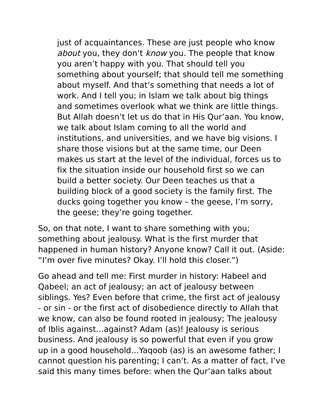just of acquaintances. These are just people who know about you, they don't know you. The people that know you aren't happy with you. That should tell you something about yourself; that should tell me something about myself. And that's something that needs a lot of work. And I tell you; in Islam we talk about big things and sometimes overlook what we think are little things. But Allah doesn't let us do that in His Qur'aan. You know, we talk about Islam coming to all the world and institutions, and universities, and we have big visions. I share those visions but at the same time, our Deen makes us start at the level of the individual, forces us to fix the situation inside our household first so we can build a better society. Our Deen teaches us that a building block of a good society is the family first. The ducks going together you know – the geese, I'm sorry, the geese; they're going together.

So, on that note, I want to share something with you; something about jealousy. What is the first murder that happened in human history? Anyone know? Call it out. (Aside: "I'm over five minutes? Okay. I'll hold this closer.")

Go ahead and tell me: First murder in history: Habeel and Qabeel; an act of jealousy; an act of jealousy between siblings. Yes? Even before that crime, the first act of jealousy - or sin - or the first act of disobedience directly to Allah that we know, can also be found rooted in jealousy; The jealousy of Iblis against…against? Adam (as)! Jealousy is serious business. And jealousy is so powerful that even if you grow up in a good household…Yaqoob (as) is an awesome father; I cannot question his parenting; I can't. As a matter of fact, I've said this many times before: when the Qur'aan talks about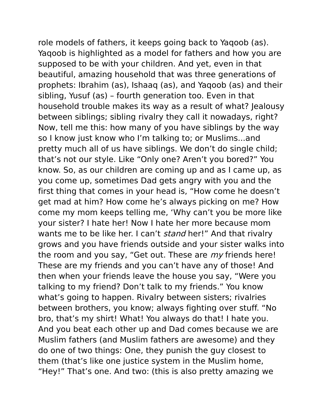role models of fathers, it keeps going back to Yaqoob (as). Yaqoob is highlighted as a model for fathers and how you are supposed to be with your children. And yet, even in that beautiful, amazing household that was three generations of prophets: Ibrahim (as), Ishaaq (as), and Yaqoob (as) and their sibling, Yusuf (as) – fourth generation too. Even in that household trouble makes its way as a result of what? Jealousy between siblings; sibling rivalry they call it nowadays, right? Now, tell me this: how many of you have siblings by the way so I know just know who I'm talking to; or Muslims...and pretty much all of us have siblings. We don't do single child; that's not our style. Like "Only one? Aren't you bored?" You know. So, as our children are coming up and as I came up, as you come up, sometimes Dad gets angry with you and the first thing that comes in your head is, "How come he doesn't get mad at him? How come he's always picking on me? How come my mom keeps telling me, 'Why can't you be more like your sister? I hate her! Now I hate her more because mom wants me to be like her. I can't *stand* her!" And that rivalry grows and you have friends outside and your sister walks into the room and you say, "Get out. These are *my* friends here! These are my friends and you can't have any of those! And then when your friends leave the house you say, "Were you talking to my friend? Don't talk to my friends." You know what's going to happen. Rivalry between sisters; rivalries between brothers, you know; always fighting over stuff. "No bro, that's my shirt! What! You always do that! I hate you. And you beat each other up and Dad comes because we are Muslim fathers (and Muslim fathers are awesome) and they do one of two things: One, they punish the guy closest to them (that's like one justice system in the Muslim home, "Hey!" That's one. And two: (this is also pretty amazing we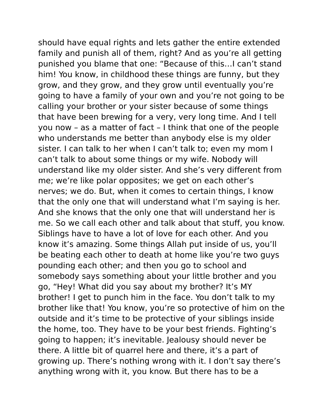should have equal rights and lets gather the entire extended family and punish all of them, right? And as you're all getting punished you blame that one: "Because of this…I can't stand him! You know, in childhood these things are funny, but they grow, and they grow, and they grow until eventually you're going to have a family of your own and you're not going to be calling your brother or your sister because of some things that have been brewing for a very, very long time. And I tell you now – as a matter of fact – I think that one of the people who understands me better than anybody else is my older sister. I can talk to her when I can't talk to; even my mom I can't talk to about some things or my wife. Nobody will understand like my older sister. And she's very different from me; we're like polar opposites; we get on each other's nerves; we do. But, when it comes to certain things, I know that the only one that will understand what I'm saying is her. And she knows that the only one that will understand her is me. So we call each other and talk about that stuff, you know. Siblings have to have a lot of love for each other. And you know it's amazing. Some things Allah put inside of us, you'll be beating each other to death at home like you're two guys pounding each other; and then you go to school and somebody says something about your little brother and you go, "Hey! What did you say about my brother? It's MY brother! I get to punch him in the face. You don't talk to my brother like that! You know, you're so protective of him on the outside and it's time to be protective of your siblings inside the home, too. They have to be your best friends. Fighting's going to happen; it's inevitable. Jealousy should never be there. A little bit of quarrel here and there, it's a part of growing up. There's nothing wrong with it. I don't say there's anything wrong with it, you know. But there has to be a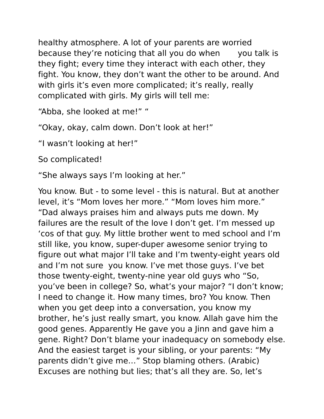healthy atmosphere. A lot of your parents are worried because they're noticing that all you do when you talk is they fight; every time they interact with each other, they fight. You know, they don't want the other to be around. And with girls it's even more complicated; it's really, really complicated with girls. My girls will tell me:

"Abba, she looked at me!" "

"Okay, okay, calm down. Don't look at her!"

"I wasn't looking at her!"

So complicated!

"She always says I'm looking at her."

You know. But - to some level - this is natural. But at another level, it's "Mom loves her more." "Mom loves him more." "Dad always praises him and always puts me down. My failures are the result of the love I don't get. I'm messed up 'cos of that guy. My little brother went to med school and I'm still like, you know, super-duper awesome senior trying to figure out what major I'll take and I'm twenty-eight years old and I'm not sure you know. I've met those guys. I've bet those twenty-eight, twenty-nine year old guys who "So, you've been in college? So, what's your major? "I don't know; I need to change it. How many times, bro? You know. Then when you get deep into a conversation, you know my brother, he's just really smart, you know. Allah gave him the good genes. Apparently He gave you a Jinn and gave him a gene. Right? Don't blame your inadequacy on somebody else. And the easiest target is your sibling, or your parents: "My parents didn't give me…" Stop blaming others. (Arabic) Excuses are nothing but lies; that's all they are. So, let's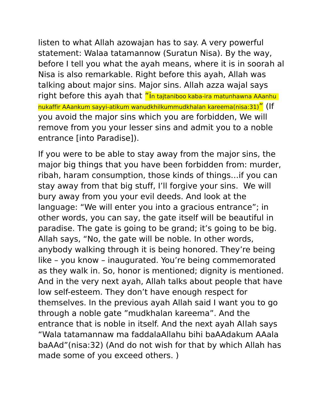listen to what Allah azowajan has to say. A very powerful statement: Walaa tatamannow (Suratun Nisa). By the way, before I tell you what the ayah means, where it is in soorah al Nisa is also remarkable. Right before this ayah, Allah was talking about major sins. Major sins. Allah azza wajal says right before this ayah that "in tajtaniboo kaba-ira matunhawna AAanhu nukaffir AAankum sayyi-atikum wanudkhilkummudkhalan kareema(nisa:31)" (If you avoid the major sins which you are forbidden, We will remove from you your lesser sins and admit you to a noble entrance [into Paradise]).

If you were to be able to stay away from the major sins, the major big things that you have been forbidden from: murder, ribah, haram consumption, those kinds of things…if you can stay away from that big stuff, I'll forgive your sins. We will bury away from you your evil deeds. And look at the language: "We will enter you into a gracious entrance"; in other words, you can say, the gate itself will be beautiful in paradise. The gate is going to be grand; it's going to be big. Allah says, "No, the gate will be noble. In other words, anybody walking through it is being honored. They're being like – you know – inaugurated. You're being commemorated as they walk in. So, honor is mentioned; dignity is mentioned. And in the very next ayah, Allah talks about people that have low self-esteem. They don't have enough respect for themselves. In the previous ayah Allah said I want you to go through a noble gate "mudkhalan kareema". And the entrance that is noble in itself. And the next ayah Allah says "Wala tatamannaw ma faddalaAllahu bihi baAAdakum AAala baAAd"(nisa:32) (And do not wish for that by which Allah has made some of you exceed others. )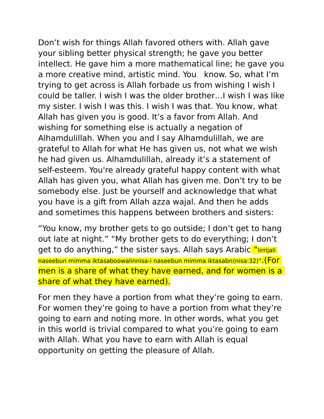Don't wish for things Allah favored others with. Allah gave your sibling better physical strength; he gave you better intellect. He gave him a more mathematical line; he gave you a more creative mind, artistic mind. You know. So, what I'm trying to get across is Allah forbade us from wishing I wish I could be taller. I wish I was the older brother…I wish I was like my sister. I wish I was this. I wish I was that. You know, what Allah has given you is good. It's a favor from Allah. And wishing for something else is actually a negation of Alhamdulillah. When you and I say Alhamdulillah, we are grateful to Allah for what He has given us, not what we wish he had given us. Alhamdulillah, already it's a statement of self-esteem. You're already grateful happy content with what Allah has given you, what Allah has given me. Don't try to be somebody else. Just be yourself and acknowledge that what you have is a gift from Allah azza wajal. And then he adds and sometimes this happens between brothers and sisters:

"You know, my brother gets to go outside; I don't get to hang out late at night." "My brother gets to do everything; I don't get to do anything," the sister says. Allah says Arabic "lirrijali naseebun mimma iktasaboowalinnisa-i naseebun mimma iktasabn(nisa:32)".(For men is a share of what they have earned, and for women is a share of what they have earned).

For men they have a portion from what they're going to earn. For women they're going to have a portion from what they're going to earn and noting more. In other words, what you get in this world is trivial compared to what you're going to earn with Allah. What you have to earn with Allah is equal opportunity on getting the pleasure of Allah.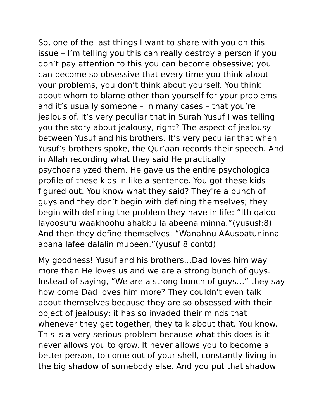So, one of the last things I want to share with you on this issue – I'm telling you this can really destroy a person if you don't pay attention to this you can become obsessive; you can become so obsessive that every time you think about your problems, you don't think about yourself. You think about whom to blame other than yourself for your problems and it's usually someone – in many cases – that you're jealous of. It's very peculiar that in Surah Yusuf I was telling you the story about jealousy, right? The aspect of jealousy between Yusuf and his brothers. It's very peculiar that when Yusuf's brothers spoke, the Qur'aan records their speech. And in Allah recording what they said He practically psychoanalyzed them. He gave us the entire psychological profile of these kids in like a sentence. You got these kids figured out. You know what they said? They're a bunch of guys and they don't begin with defining themselves; they begin with defining the problem they have in life: "Ith qaloo layoosufu waakhoohu ahabbuila abeena minna."(yususf:8) And then they define themselves: "Wanahnu AAusbatuninna abana lafee dalalin mubeen."(yusuf 8 contd)

My goodness! Yusuf and his brothers…Dad loves him way more than He loves us and we are a strong bunch of guys. Instead of saying, "We are a strong bunch of guys…" they say how come Dad loves him more? They couldn't even talk about themselves because they are so obsessed with their object of jealousy; it has so invaded their minds that whenever they get together, they talk about that. You know. This is a very serious problem because what this does is it never allows you to grow. It never allows you to become a better person, to come out of your shell, constantly living in the big shadow of somebody else. And you put that shadow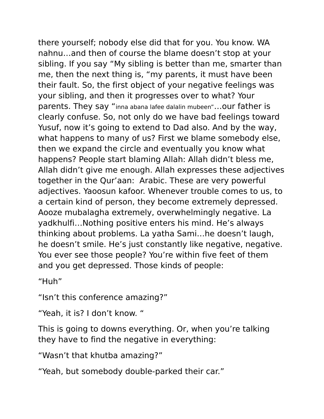there yourself; nobody else did that for you. You know. WA nahnu…and then of course the blame doesn't stop at your sibling. If you say "My sibling is better than me, smarter than me, then the next thing is, "my parents, it must have been their fault. So, the first object of your negative feelings was your sibling, and then it progresses over to what? Your parents. They say "inna abana lafee dalalin mubeen"…our father is clearly confuse. So, not only do we have bad feelings toward Yusuf, now it's going to extend to Dad also. And by the way, what happens to many of us? First we blame somebody else, then we expand the circle and eventually you know what happens? People start blaming Allah: Allah didn't bless me, Allah didn't give me enough. Allah expresses these adjectives together in the Qur'aan: Arabic. These are very powerful adjectives. Yaoosun kafoor. Whenever trouble comes to us, to a certain kind of person, they become extremely depressed. Aooze mubalagha extremely, overwhelmingly negative. La yadkhulfi…Nothing positive enters his mind. He's always thinking about problems. La yatha Sami…he doesn't laugh, he doesn't smile. He's just constantly like negative, negative. You ever see those people? You're within five feet of them and you get depressed. Those kinds of people:

"Huh"

"Isn't this conference amazing?"

"Yeah, it is? I don't know. "

This is going to downs everything. Or, when you're talking they have to find the negative in everything:

"Wasn't that khutba amazing?"

"Yeah, but somebody double-parked their car."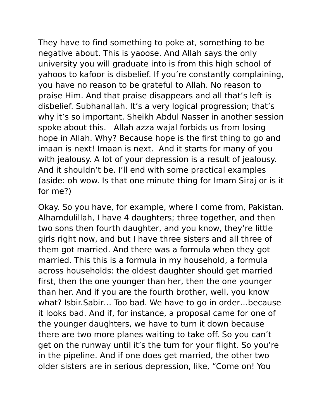They have to find something to poke at, something to be negative about. This is yaoose. And Allah says the only university you will graduate into is from this high school of yahoos to kafoor is disbelief. If you're constantly complaining, you have no reason to be grateful to Allah. No reason to praise Him. And that praise disappears and all that's left is disbelief. Subhanallah. It's a very logical progression; that's why it's so important. Sheikh Abdul Nasser in another session spoke about this. Allah azza wajal forbids us from losing hope in Allah. Why? Because hope is the first thing to go and imaan is next! Imaan is next. And it starts for many of you with jealousy. A lot of your depression is a result of jealousy. And it shouldn't be. I'll end with some practical examples (aside: oh wow. Is that one minute thing for Imam Siraj or is it for me?)

Okay. So you have, for example, where I come from, Pakistan. Alhamdulillah, I have 4 daughters; three together, and then two sons then fourth daughter, and you know, they're little girls right now, and but I have three sisters and all three of them got married. And there was a formula when they got married. This this is a formula in my household, a formula across households: the oldest daughter should get married first, then the one younger than her, then the one younger than her. And if you are the fourth brother, well, you know what? Isbir.Sabir… Too bad. We have to go in order…because it looks bad. And if, for instance, a proposal came for one of the younger daughters, we have to turn it down because there are two more planes waiting to take off. So you can't get on the runway until it's the turn for your flight. So you're in the pipeline. And if one does get married, the other two older sisters are in serious depression, like, "Come on! You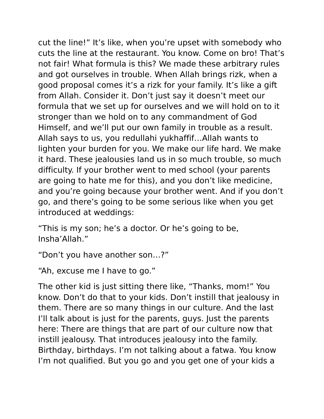cut the line!" It's like, when you're upset with somebody who cuts the line at the restaurant. You know. Come on bro! That's not fair! What formula is this? We made these arbitrary rules and got ourselves in trouble. When Allah brings rizk, when a good proposal comes it's a rizk for your family. It's like a gift from Allah. Consider it. Don't just say it doesn't meet our formula that we set up for ourselves and we will hold on to it stronger than we hold on to any commandment of God Himself, and we'll put our own family in trouble as a result. Allah says to us, you redullahi yukhaffif…Allah wants to lighten your burden for you. We make our life hard. We make it hard. These jealousies land us in so much trouble, so much difficulty. If your brother went to med school (your parents are going to hate me for this), and you don't like medicine, and you're going because your brother went. And if you don't go, and there's going to be some serious like when you get introduced at weddings:

"This is my son; he's a doctor. Or he's going to be, Insha'Allah."

"Don't you have another son…?"

"Ah, excuse me I have to go."

The other kid is just sitting there like, "Thanks, mom!" You know. Don't do that to your kids. Don't instill that jealousy in them. There are so many things in our culture. And the last I'll talk about is just for the parents, guys. Just the parents here: There are things that are part of our culture now that instill jealousy. That introduces jealousy into the family. Birthday, birthdays. I'm not talking about a fatwa. You know I'm not qualified. But you go and you get one of your kids a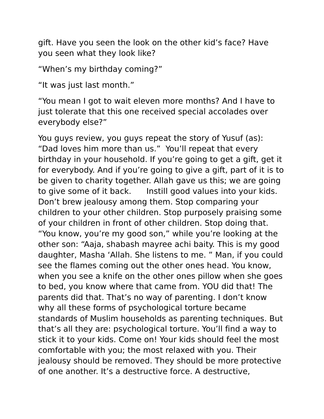gift. Have you seen the look on the other kid's face? Have you seen what they look like?

"When's my birthday coming?"

"It was just last month."

"You mean I got to wait eleven more months? And I have to just tolerate that this one received special accolades over everybody else?"

You guys review, you guys repeat the story of Yusuf (as): "Dad loves him more than us." You'll repeat that every birthday in your household. If you're going to get a gift, get it for everybody. And if you're going to give a gift, part of it is to be given to charity together. Allah gave us this; we are going to give some of it back. Instill good values into your kids. Don't brew jealousy among them. Stop comparing your children to your other children. Stop purposely praising some of your children in front of other children. Stop doing that. "You know, you're my good son," while you're looking at the other son: "Aaja, shabash mayree achi baity. This is my good daughter, Masha 'Allah. She listens to me. " Man, if you could see the flames coming out the other ones head. You know, when you see a knife on the other ones pillow when she goes to bed, you know where that came from. YOU did that! The parents did that. That's no way of parenting. I don't know why all these forms of psychological torture became standards of Muslim households as parenting techniques. But that's all they are: psychological torture. You'll find a way to stick it to your kids. Come on! Your kids should feel the most comfortable with you; the most relaxed with you. Their jealousy should be removed. They should be more protective of one another. It's a destructive force. A destructive,